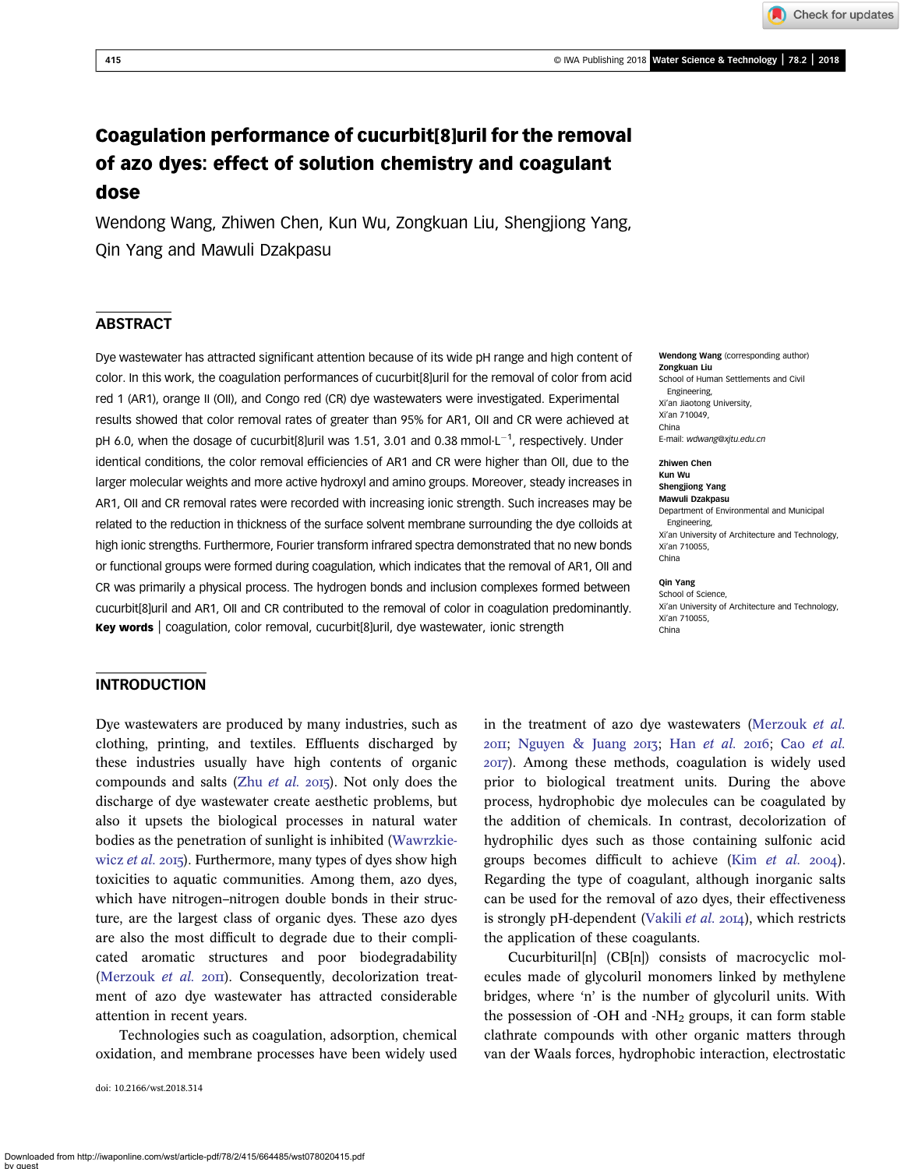# Coagulation performance of cucurbit[8]uril for the removal of azo dyes: effect of solution chemistry and coagulant dose

Wendong Wang, Zhiwen Chen, Kun Wu, Zongkuan Liu, Shengjiong Yang, Qin Yang and Mawuli Dzakpasu

## **ABSTRACT**

Dye wastewater has attracted significant attention because of its wide pH range and high content of color. In this work, the coagulation performances of cucurbit[8]uril for the removal of color from acid red 1 (AR1), orange II (OII), and Congo red (CR) dye wastewaters were investigated. Experimental results showed that color removal rates of greater than 95% for AR1, OII and CR were achieved at pH 6.0, when the dosage of cucurbit[8]uril was 1.51, 3.01 and 0.38 mmol $L^{-1}$ , respectively. Under identical conditions, the color removal efficiencies of AR1 and CR were higher than OII, due to the larger molecular weights and more active hydroxyl and amino groups. Moreover, steady increases in AR1, OII and CR removal rates were recorded with increasing ionic strength. Such increases may be related to the reduction in thickness of the surface solvent membrane surrounding the dye colloids at high ionic strengths. Furthermore, Fourier transform infrared spectra demonstrated that no new bonds or functional groups were formed during coagulation, which indicates that the removal of AR1, OII and CR was primarily a physical process. The hydrogen bonds and inclusion complexes formed between cucurbit[8]uril and AR1, OII and CR contributed to the removal of color in coagulation predominantly. **Key words** | coagulation, color removal, cucurbit[8]uril, dye wastewater, ionic strength  $\frac{1}{\text{China}}$ 

#### Wendong Wang (corresponding author) Zongkuan Liu School of Human Settlements and Civil Engineering, Xi'an Jiaotong University, Xi'an 710049, China E-mail: [wdwang@xjtu.edu.cn](mailto:wdwang@xjtu.edu.cn)

Zhiwen Chen Kun Wu Shengjiong Yang Mawuli Dzakpasu

Department of Environmental and Municipal Engineering, Xi'an University of Architecture and Technology, Xi'an 710055, China

#### Qin Yang

School of Science, Xi'an University of Architecture and Technology, Xi'an 710055,

### **INTRODUCTION**

Dye wastewaters are produced by many industries, such as clothing, printing, and textiles. Effluents discharged by these industries usually have high contents of organic compounds and salts (Zhu *[et al.](#page-8-0)* 2015). Not only does the discharge of dye wastewater create aesthetic problems, but also it upsets the biological processes in natural water bodies as the penetration of sunlight is inhibited [\(Wawrzkie](#page-8-0)wicz [et al.](#page-8-0) 2015). Furthermore, many types of dyes show high toxicities to aquatic communities. Among them, azo dyes, which have nitrogen–nitrogen double bonds in their structure, are the largest class of organic dyes. These azo dyes are also the most difficult to degrade due to their complicated aromatic structures and poor biodegradability [\(Merzouk](#page-7-0)  $et$  al.  $2$ OII). Consequently, decolorization treatment of azo dye wastewater has attracted considerable attention in recent years.

Technologies such as coagulation, adsorption, chemical oxidation, and membrane processes have been widely used

doi: 10.2166/wst.2018.314

in the treatment of azo dye wastewaters [\(Merzouk](#page-7-0) et al.  $20II$ ; [Nguyen & Juang](#page-7-0)  $20I$ ; Han [et al.](#page-7-0)  $20I$  Cao et al. ). Among these methods, coagulation is widely used prior to biological treatment units. During the above process, hydrophobic dye molecules can be coagulated by the addition of chemicals. In contrast, decolorization of hydrophilic dyes such as those containing sulfonic acid groups becomes difficult to achieve (Kim  $et$   $al.$  2004). Regarding the type of coagulant, although inorganic salts can be used for the removal of azo dyes, their effectiveness is strongly pH-dependent ([Vakili](#page-8-0) et al.  $20I4$ ), which restricts the application of these coagulants.

Cucurbituril[n] (CB[n]) consists of macrocyclic molecules made of glycoluril monomers linked by methylene bridges, where 'n' is the number of glycoluril units. With the possession of -OH and - $NH<sub>2</sub>$  groups, it can form stable clathrate compounds with other organic matters through van der Waals forces, hydrophobic interaction, electrostatic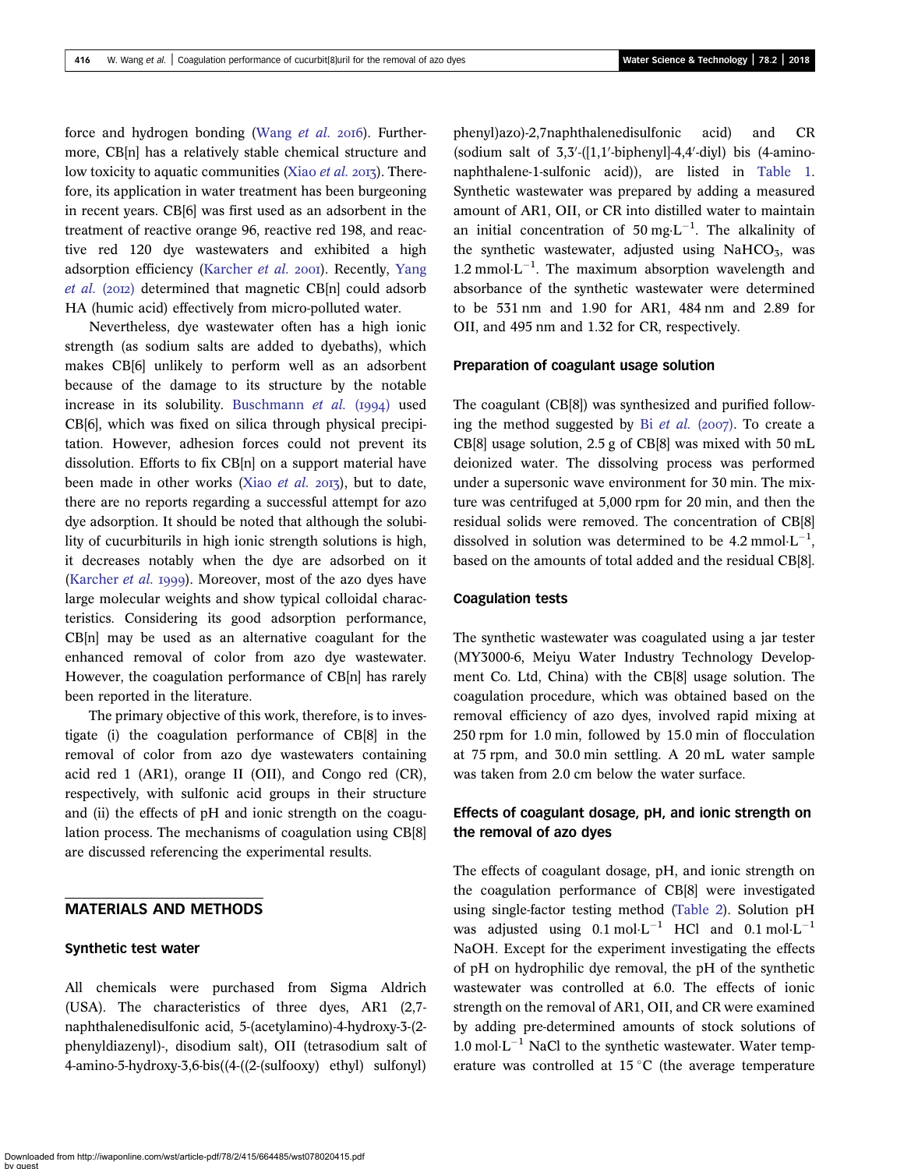force and hydrogen bonding [\(Wang](#page-8-0) et al. 2016). Furthermore, CB[n] has a relatively stable chemical structure and low toxicity to aquatic communities (Xiao [et al.](#page-8-0) 2013). Therefore, its application in water treatment has been burgeoning in recent years. CB[6] was first used as an adsorbent in the treatment of reactive orange 96, reactive red 198, and reactive red 120 dye wastewaters and exhibited a high adsorption efficiency [\(Karcher](#page-7-0) et al. 2001). Recently, [Yang](#page-8-0) [et al.](#page-8-0) (2012) determined that magnetic CB[n] could adsorb HA (humic acid) effectively from micro-polluted water.

Nevertheless, dye wastewater often has a high ionic strength (as sodium salts are added to dyebaths), which makes CB[6] unlikely to perform well as an adsorbent because of the damage to its structure by the notable increase in its solubility. [Buschmann](#page-7-0) et al.  $(1994)$  used CB[6], which was fixed on silica through physical precipitation. However, adhesion forces could not prevent its dissolution. Efforts to fix CB[n] on a support material have been made in other works (Xiao *[et al.](#page-8-0)* 2013), but to date, there are no reports regarding a successful attempt for azo dye adsorption. It should be noted that although the solubility of cucurbiturils in high ionic strength solutions is high, it decreases notably when the dye are adsorbed on it ([Karcher](#page-7-0) *et al.* 1999). Moreover, most of the azo dyes have large molecular weights and show typical colloidal characteristics. Considering its good adsorption performance, CB[n] may be used as an alternative coagulant for the enhanced removal of color from azo dye wastewater. However, the coagulation performance of CB[n] has rarely been reported in the literature.

The primary objective of this work, therefore, is to investigate (i) the coagulation performance of CB[8] in the removal of color from azo dye wastewaters containing acid red 1 (AR1), orange II (OII), and Congo red (CR), respectively, with sulfonic acid groups in their structure and (ii) the effects of pH and ionic strength on the coagulation process. The mechanisms of coagulation using CB[8] are discussed referencing the experimental results.

## MATERIALS AND METHODS

#### Synthetic test water

All chemicals were purchased from Sigma Aldrich (USA). The characteristics of three dyes, AR1 (2,7 naphthalenedisulfonic acid, 5-(acetylamino)-4-hydroxy-3-(2 phenyldiazenyl)-, disodium salt), OII (tetrasodium salt of 4-amino-5-hydroxy-3,6-bis((4-((2-(sulfooxy) ethyl) sulfonyl)

phenyl)azo)-2,7naphthalenedisulfonic acid) and CR  $(s$ odium salt of  $3,3'$ - $($ [1,1'-biphenyl]-4,4'-diyl) bis  $(4$ -aminonaphthalene-1-sulfonic acid)), are listed in [Table 1](#page-2-0). Synthetic wastewater was prepared by adding a measured amount of AR1, OII, or CR into distilled water to maintain an initial concentration of 50 mg·L<sup>-1</sup>. The alkalinity of the synthetic wastewater, adjusted using NaHCO<sub>3</sub>, was 1.2 mmol $\cdot$ L<sup>-1</sup>. The maximum absorption wavelength and absorbance of the synthetic wastewater were determined to be 531 nm and 1.90 for AR1, 484 nm and 2.89 for OII, and 495 nm and 1.32 for CR, respectively.

#### Preparation of coagulant usage solution

The coagulant (CB[8]) was synthesized and purified following the method suggested by Bi [et al.](#page-7-0)  $(2007)$ . To create a CB[8] usage solution, 2.5 g of CB[8] was mixed with 50 mL deionized water. The dissolving process was performed under a supersonic wave environment for 30 min. The mixture was centrifuged at 5,000 rpm for 20 min, and then the residual solids were removed. The concentration of CB[8] dissolved in solution was determined to be 4.2 mmol $\cdot L^{-1}$ , based on the amounts of total added and the residual CB[8].

#### Coagulation tests

The synthetic wastewater was coagulated using a jar tester (MY3000-6, Meiyu Water Industry Technology Development Co. Ltd, China) with the CB[8] usage solution. The coagulation procedure, which was obtained based on the removal efficiency of azo dyes, involved rapid mixing at 250 rpm for 1.0 min, followed by 15.0 min of flocculation at 75 rpm, and 30.0 min settling. A 20 mL water sample was taken from 2.0 cm below the water surface.

## Effects of coagulant dosage, pH, and ionic strength on the removal of azo dyes

The effects of coagulant dosage, pH, and ionic strength on the coagulation performance of CB[8] were investigated using single-factor testing method [\(Table 2\)](#page-2-0). Solution pH was adjusted using  $0.1 \text{ mol} \cdot \text{L}^{-1}$  HCl and  $0.1 \text{ mol} \cdot \text{L}^{-1}$ NaOH. Except for the experiment investigating the effects of pH on hydrophilic dye removal, the pH of the synthetic wastewater was controlled at 6.0. The effects of ionic strength on the removal of AR1, OII, and CR were examined by adding pre-determined amounts of stock solutions of 1.0 mol $\text{L}^{-1}$  NaCl to the synthetic wastewater. Water temperature was controlled at  $15^{\circ}$ C (the average temperature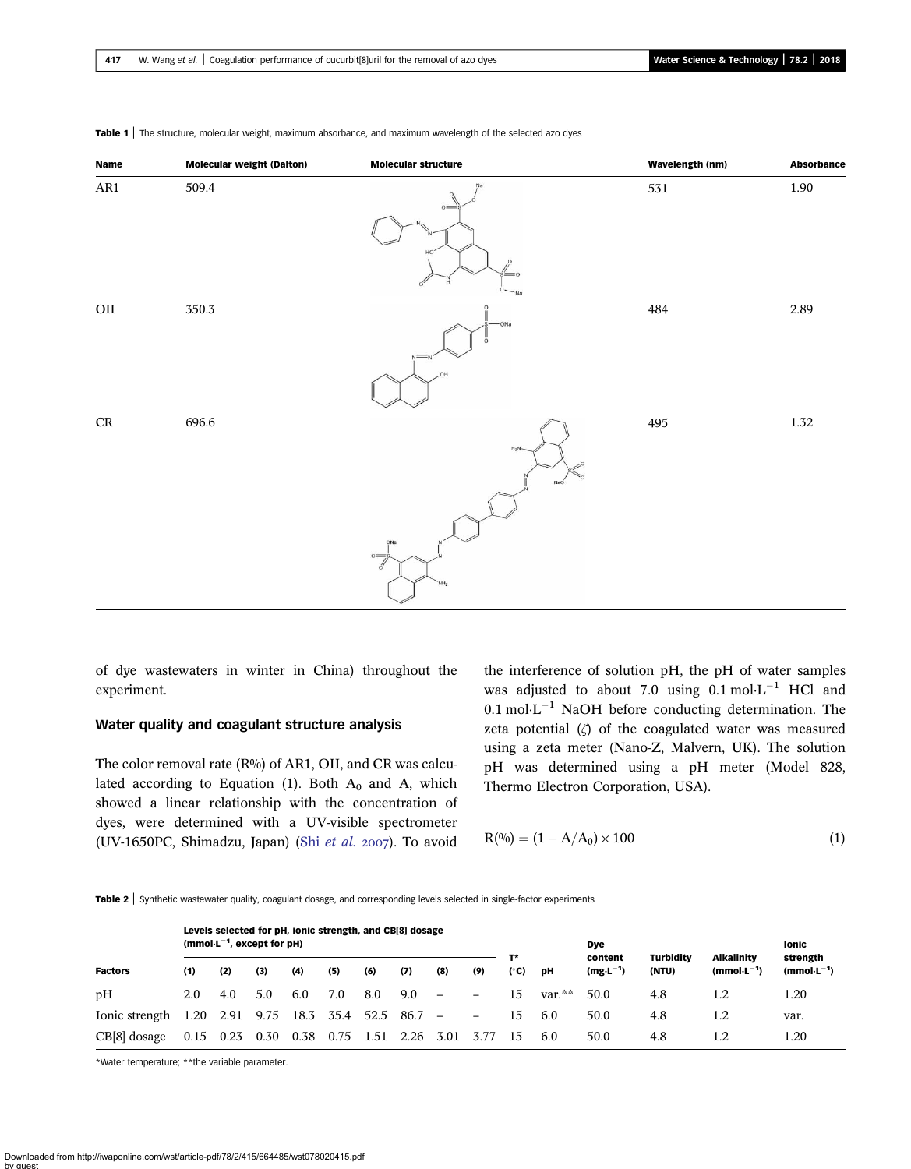| Name      | <b>Molecular weight (Dalton)</b> | <b>Molecular structure</b>                                  | Wavelength (nm) | <b>Absorbance</b> |
|-----------|----------------------------------|-------------------------------------------------------------|-----------------|-------------------|
| $\rm AR1$ | 509.4                            | $o=$<br>$\circ$<br>$= 0$<br>ö<br>$\Omega$<br>Na             | 531             | $1.90\,$          |
| $\rm OII$ | 350.3                            | O<br>-ONa<br>HO.                                            | 484             | 2.89              |
| $\rm CR$  | 696.6                            | $H_2N$<br>NaO<br>ONa<br>$\sum_{i=1}^{n}$<br>NH <sub>2</sub> | 495             | $1.32\,$          |

<span id="page-2-0"></span>Table 1 | The structure, molecular weight, maximum absorbance, and maximum wavelength of the selected azo dyes

of dye wastewaters in winter in China) throughout the experiment.

#### Water quality and coagulant structure analysis

The color removal rate (R%) of AR1, OII, and CR was calculated according to Equation (1). Both  $A_0$  and A, which showed a linear relationship with the concentration of dyes, were determined with a UV-visible spectrometer (UV-1650PC, Shimadzu, Japan) (Shi [et al.](#page-7-0) 2007). To avoid

the interference of solution pH, the pH of water samples was adjusted to about 7.0 using  $0.1 \text{ mol} \cdot L^{-1}$  HCl and  $0.1 \text{ mol} \cdot \text{L}^{-1}$  NaOH before conducting determination. The zeta potential  $(\zeta)$  of the coagulated water was measured using a zeta meter (Nano-Z, Malvern, UK). The solution pH was determined using a pH meter (Model 828, Thermo Electron Corporation, USA).

$$
R^{(0)}(0) = (1 - A/A_0) \times 100
$$
 (1)

Table 2 | Synthetic wastewater quality, coagulant dosage, and corresponding levels selected in single-factor experiments

|                | Levels selected for pH, ionic strength, and CB[8] dosage<br>(mmol $\cdot$ L <sup>-1</sup> , except for pH) |                |      |      |                |      |      |                          |                              |      |           | <b>Dye</b>               |                           |                                      | Ionic                       |
|----------------|------------------------------------------------------------------------------------------------------------|----------------|------|------|----------------|------|------|--------------------------|------------------------------|------|-----------|--------------------------|---------------------------|--------------------------------------|-----------------------------|
| <b>Factors</b> | (1)                                                                                                        | (2)            | (3)  | (4)  | (5)            | (6)  | (7)  | (8)                      | (9)                          | (°C) | pН        | content<br>$(mg·L^{-1})$ | <b>Turbidity</b><br>(NTU) | <b>Alkalinity</b><br>$(mmol·L^{-1})$ | strength<br>$(mmol·L^{-1})$ |
| pH             | 2.0                                                                                                        | 4.0            | 5.0  | 6.0  | 7.0            | 8.0  | 9.0  | $\overline{\phantom{0}}$ | $\overline{\phantom{0}}$     | 15   | $var.*^*$ | 50.0                     | 4.8                       | 1.2                                  | 1.20                        |
| Ionic strength |                                                                                                            | 1.20 2.91 9.75 |      |      | 18.3 35.4 52.5 |      | 86.7 | $\overline{\phantom{a}}$ | $\qquad \qquad \blacksquare$ | 15   | 6.0       | 50.0                     | 4.8                       | 1.2                                  | var.                        |
| CB[8] dosage   | 0.15                                                                                                       | 0.23           | 0.30 | 0.38 | 0.75           | 1.51 | 2.26 | 3.01                     | 3.77                         | 15   | 6.0       | 50.0                     | 4.8                       | 1.2                                  | 1.20                        |

\*Water temperature; \*\*the variable parameter.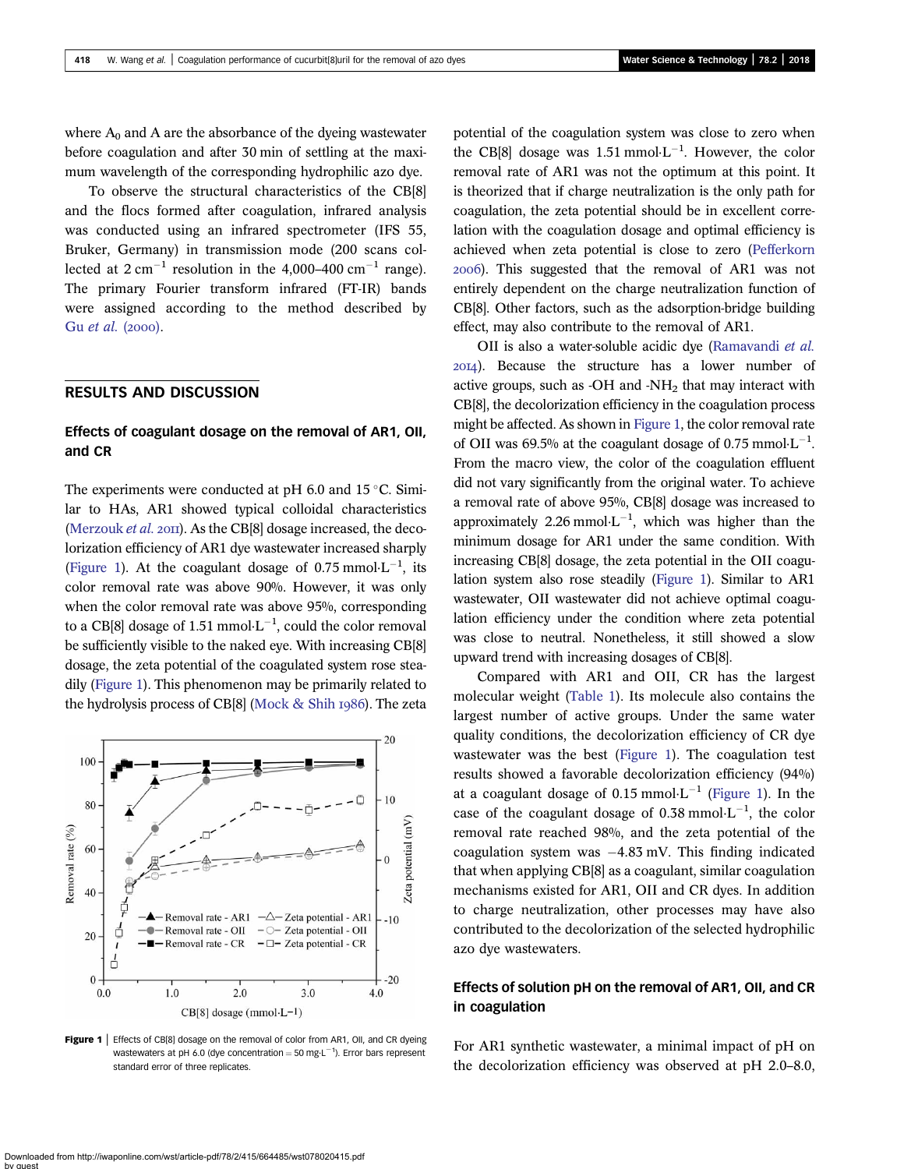<span id="page-3-0"></span>where  $A_0$  and A are the absorbance of the dyeing wastewater before coagulation and after 30 min of settling at the maximum wavelength of the corresponding hydrophilic azo dye.

To observe the structural characteristics of the CB[8] and the flocs formed after coagulation, infrared analysis was conducted using an infrared spectrometer (IFS 55, Bruker, Germany) in transmission mode (200 scans collected at  $2 \text{ cm}^{-1}$  resolution in the 4,000–400 cm<sup>-1</sup> range). The primary Fourier transform infrared (FT-IR) bands were assigned according to the method described by Gu [et al.](#page-7-0) (2000).

## RESULTS AND DISCUSSION

## Effects of coagulant dosage on the removal of AR1, OII, and CR

The experiments were conducted at  $pH$  6.0 and 15 °C. Similar to HAs, AR1 showed typical colloidal characteristics [\(Merzouk](#page-7-0) *et al.* 2011). As the CB[8] dosage increased, the decolorization efficiency of AR1 dye wastewater increased sharply (Figure 1). At the coagulant dosage of 0.75 mmol $\cdot$ L<sup>-1</sup>, its color removal rate was above 90%. However, it was only when the color removal rate was above 95%, corresponding to a CB[8] dosage of 1.51 mmol $\cdot L^{-1}$ , could the color removal be sufficiently visible to the naked eye. With increasing CB[8] dosage, the zeta potential of the coagulated system rose steadily (Figure 1). This phenomenon may be primarily related to the hydrolysis process of CB $[8]$  [\(Mock & Shih](#page-7-0) 1986). The zeta



Figure 1 | Effects of CB[8] dosage on the removal of color from AR1, OII, and CR dyeing wastewaters at pH 6.0 (dye concentration  $=$  50 mg·L<sup>-1</sup>). Error bars represent standard error of three replicates

potential of the coagulation system was close to zero when the CB[8] dosage was 1.51 mmol $\cdot L^{-1}$ . However, the color removal rate of AR1 was not the optimum at this point. It is theorized that if charge neutralization is the only path for coagulation, the zeta potential should be in excellent correlation with the coagulation dosage and optimal efficiency is achieved when zeta potential is close to zero [\(Pefferkorn](#page-7-0) ). This suggested that the removal of AR1 was not entirely dependent on the charge neutralization function of CB[8]. Other factors, such as the adsorption-bridge building effect, may also contribute to the removal of AR1.

OII is also a water-soluble acidic dye ([Ramavandi](#page-7-0) et al. ). Because the structure has a lower number of active groups, such as -OH and -NH<sub>2</sub> that may interact with CB[8], the decolorization efficiency in the coagulation process might be affected. As shown in Figure 1, the color removal rate of OII was 69.5% at the coagulant dosage of 0.75 mmol $\cdot$ L<sup>-1</sup>. From the macro view, the color of the coagulation effluent did not vary significantly from the original water. To achieve a removal rate of above 95%, CB[8] dosage was increased to approximately 2.26 mmol $\cdot L^{-1}$ , which was higher than the minimum dosage for AR1 under the same condition. With increasing CB[8] dosage, the zeta potential in the OII coagulation system also rose steadily (Figure 1). Similar to AR1 wastewater, OII wastewater did not achieve optimal coagulation efficiency under the condition where zeta potential was close to neutral. Nonetheless, it still showed a slow upward trend with increasing dosages of CB[8].

Compared with AR1 and OII, CR has the largest molecular weight [\(Table 1](#page-2-0)). Its molecule also contains the largest number of active groups. Under the same water quality conditions, the decolorization efficiency of CR dye wastewater was the best (Figure 1). The coagulation test results showed a favorable decolorization efficiency (94%) at a coagulant dosage of 0.15 mmol $L^{-1}$  (Figure 1). In the case of the coagulant dosage of 0.38 mmol $\cdot L^{-1}$ , the color removal rate reached 98%, and the zeta potential of the coagulation system was  $-4.83$  mV. This finding indicated that when applying CB[8] as a coagulant, similar coagulation mechanisms existed for AR1, OII and CR dyes. In addition to charge neutralization, other processes may have also contributed to the decolorization of the selected hydrophilic azo dye wastewaters.

## Effects of solution pH on the removal of AR1, OII, and CR in coagulation

For AR1 synthetic wastewater, a minimal impact of pH on the decolorization efficiency was observed at pH 2.0–8.0,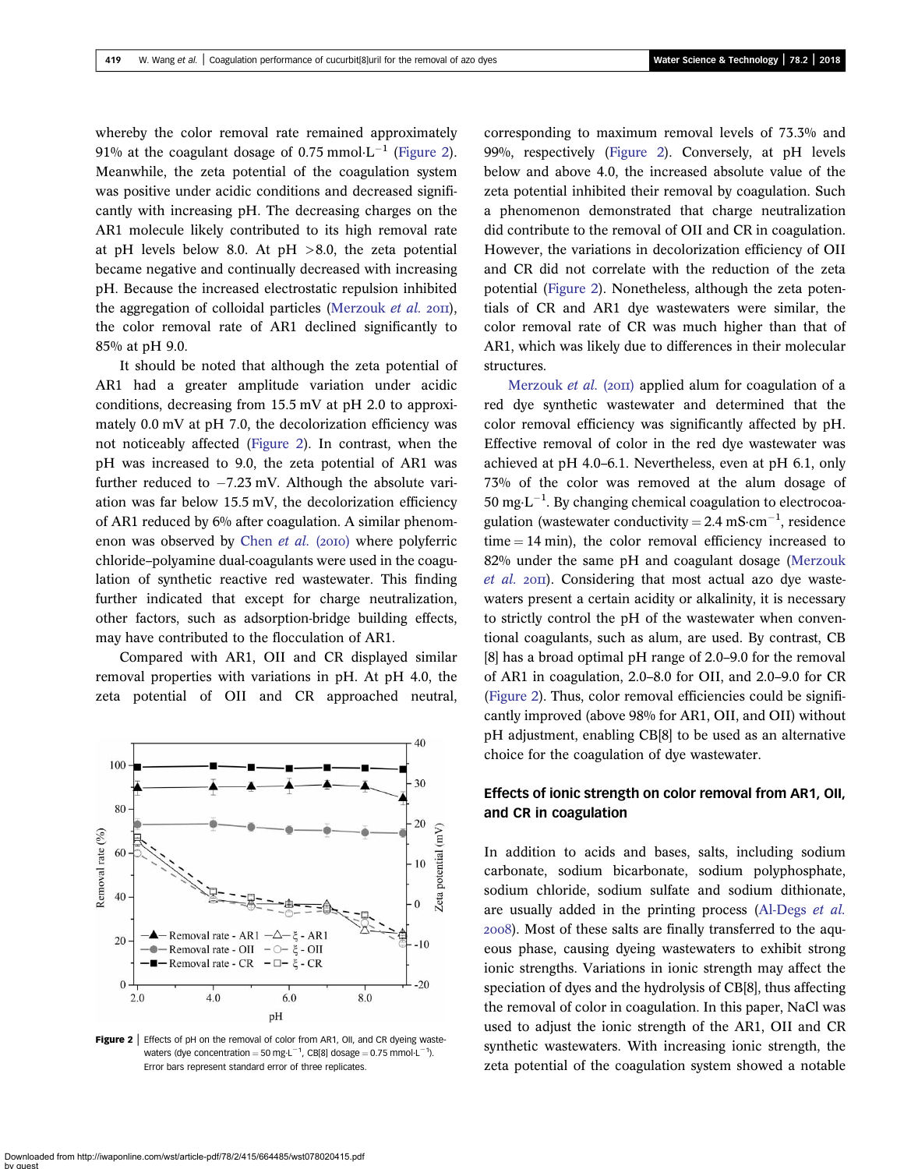<span id="page-4-0"></span>whereby the color removal rate remained approximately 91% at the coagulant dosage of 0.75 mmol $\cdot L^{-1}$  (Figure 2). Meanwhile, the zeta potential of the coagulation system was positive under acidic conditions and decreased significantly with increasing pH. The decreasing charges on the AR1 molecule likely contributed to its high removal rate at pH levels below 8.0. At pH  $>8.0$ , the zeta potential became negative and continually decreased with increasing pH. Because the increased electrostatic repulsion inhibited the aggregation of colloidal particles [\(Merzouk](#page-7-0) *et al.*  $20\text{H}$ ), the color removal rate of AR1 declined significantly to 85% at pH 9.0.

It should be noted that although the zeta potential of AR1 had a greater amplitude variation under acidic conditions, decreasing from 15.5 mV at pH 2.0 to approximately 0.0 mV at pH 7.0, the decolorization efficiency was not noticeably affected (Figure 2). In contrast, when the pH was increased to 9.0, the zeta potential of AR1 was further reduced to  $-7.23$  mV. Although the absolute variation was far below 15.5 mV, the decolorization efficiency of AR1 reduced by 6% after coagulation. A similar phenom-enon was observed by [Chen](#page-7-0) et al.  $(20I0)$  where polyferric chloride–polyamine dual-coagulants were used in the coagulation of synthetic reactive red wastewater. This finding further indicated that except for charge neutralization, other factors, such as adsorption-bridge building effects, may have contributed to the flocculation of AR1.

Compared with AR1, OII and CR displayed similar removal properties with variations in pH. At pH 4.0, the zeta potential of OII and CR approached neutral,



Figure 2 | Effects of pH on the removal of color from AR1, OII, and CR dyeing wastewaters (dye concentration = 50 mg·L<sup>-1</sup>, CB[8] dosage = 0.75 mmol·L<sup>-1</sup>). Error bars represent standard error of three replicates.

corresponding to maximum removal levels of 73.3% and 99%, respectively (Figure 2). Conversely, at pH levels below and above 4.0, the increased absolute value of the zeta potential inhibited their removal by coagulation. Such a phenomenon demonstrated that charge neutralization did contribute to the removal of OII and CR in coagulation. However, the variations in decolorization efficiency of OII and CR did not correlate with the reduction of the zeta potential (Figure 2). Nonetheless, although the zeta potentials of CR and AR1 dye wastewaters were similar, the color removal rate of CR was much higher than that of AR1, which was likely due to differences in their molecular structures.

[Merzouk](#page-7-0) *et al.* (2011) applied alum for coagulation of a red dye synthetic wastewater and determined that the color removal efficiency was significantly affected by pH. Effective removal of color in the red dye wastewater was achieved at pH 4.0–6.1. Nevertheless, even at pH 6.1, only 73% of the color was removed at the alum dosage of  $50 \text{ mg} \cdot \text{L}^{-1}$ . By changing chemical coagulation to electrocoagulation (wastewater conductivity =  $2.4 \text{ mS} \cdot \text{cm}^{-1}$ , residence  $time = 14$  min), the color removal efficiency increased to 82% under the same pH and coagulant dosage [\(Merzouk](#page-7-0)  $et$  al. 2011). Considering that most actual azo dye wastewaters present a certain acidity or alkalinity, it is necessary to strictly control the pH of the wastewater when conventional coagulants, such as alum, are used. By contrast, CB [8] has a broad optimal pH range of 2.0–9.0 for the removal of AR1 in coagulation, 2.0–8.0 for OII, and 2.0–9.0 for CR (Figure 2). Thus, color removal efficiencies could be significantly improved (above 98% for AR1, OII, and OII) without pH adjustment, enabling CB[8] to be used as an alternative choice for the coagulation of dye wastewater.

## Effects of ionic strength on color removal from AR1, OII, and CR in coagulation

In addition to acids and bases, salts, including sodium carbonate, sodium bicarbonate, sodium polyphosphate, sodium chloride, sodium sulfate and sodium dithionate, are usually added in the printing process ([Al-Degs](#page-7-0) et al. ). Most of these salts are finally transferred to the aqueous phase, causing dyeing wastewaters to exhibit strong ionic strengths. Variations in ionic strength may affect the speciation of dyes and the hydrolysis of CB[8], thus affecting the removal of color in coagulation. In this paper, NaCl was used to adjust the ionic strength of the AR1, OII and CR synthetic wastewaters. With increasing ionic strength, the zeta potential of the coagulation system showed a notable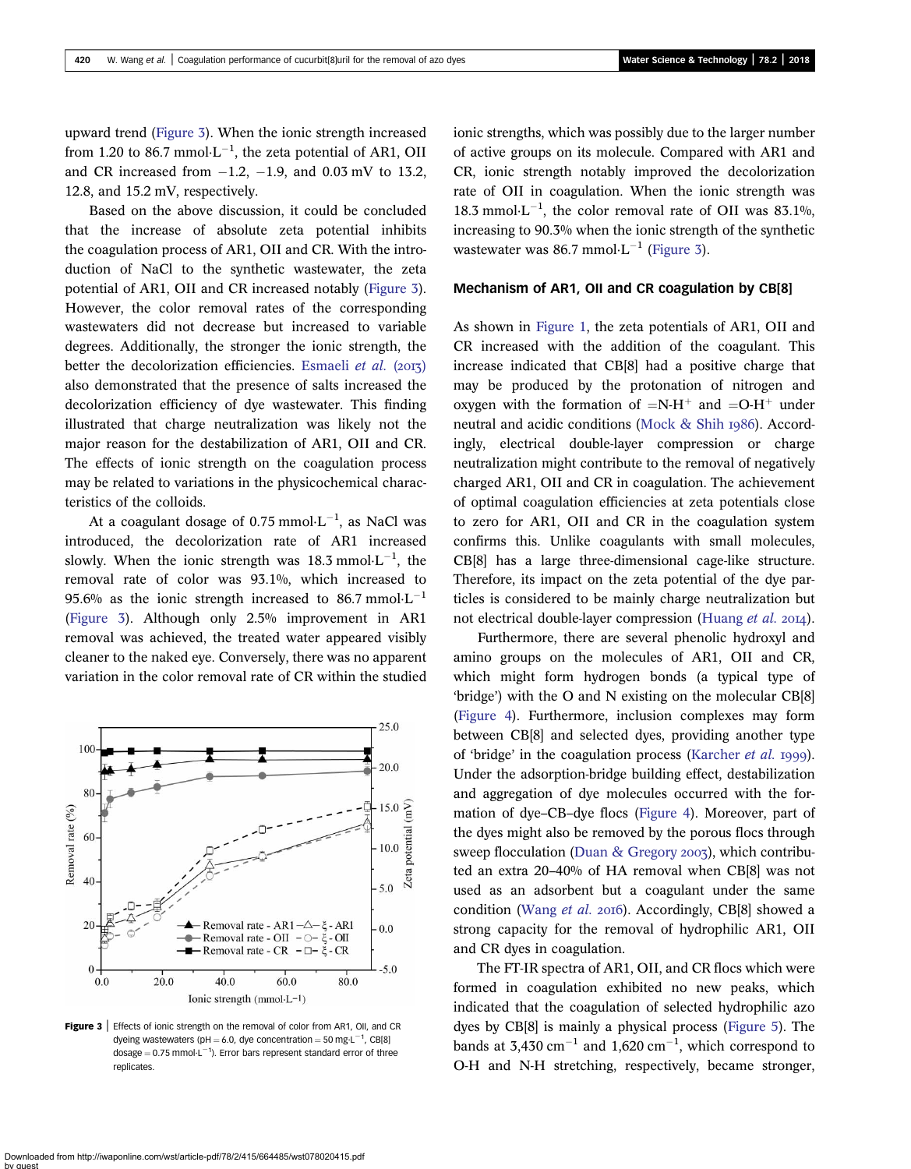upward trend (Figure 3). When the ionic strength increased from 1.20 to 86.7 mmol $\cdot L^{-1}$ , the zeta potential of AR1, OII and CR increased from  $-1.2$ ,  $-1.9$ , and 0.03 mV to 13.2, 12.8, and 15.2 mV, respectively.

Based on the above discussion, it could be concluded that the increase of absolute zeta potential inhibits the coagulation process of AR1, OII and CR. With the introduction of NaCl to the synthetic wastewater, the zeta potential of AR1, OII and CR increased notably (Figure 3). However, the color removal rates of the corresponding wastewaters did not decrease but increased to variable degrees. Additionally, the stronger the ionic strength, the better the decolorization efficiencies. [Esmaeli](#page-7-0) et al.  $(2013)$ also demonstrated that the presence of salts increased the decolorization efficiency of dye wastewater. This finding illustrated that charge neutralization was likely not the major reason for the destabilization of AR1, OII and CR. The effects of ionic strength on the coagulation process may be related to variations in the physicochemical characteristics of the colloids.

At a coagulant dosage of 0.75 mmol $\cdot$ L<sup>-1</sup>, as NaCl was introduced, the decolorization rate of AR1 increased slowly. When the ionic strength was  $18.3 \text{ mmol·L}^{-1}$ , the removal rate of color was 93.1%, which increased to 95.6% as the ionic strength increased to 86.7 mmol $\cdot L^{-1}$ (Figure 3). Although only 2.5% improvement in AR1 removal was achieved, the treated water appeared visibly cleaner to the naked eye. Conversely, there was no apparent variation in the color removal rate of CR within the studied



Figure 3 | Effects of ionic strength on the removal of color from AR1, OII, and CR dyeing wastewaters (pH = 6.0, dye concentration = 50 mg·L $^{-1}$ , CB[8] dosage  $=$  0.75 mmol $\cdot$ L<sup>-1</sup>). Error bars represent standard error of three replicates.

ionic strengths, which was possibly due to the larger number of active groups on its molecule. Compared with AR1 and CR, ionic strength notably improved the decolorization rate of OII in coagulation. When the ionic strength was 18.3 mmol $\cdot$ L<sup>-1</sup>, the color removal rate of OII was 83.1%, increasing to 90.3% when the ionic strength of the synthetic wastewater was 86.7 mmol $\cdot$ L<sup>-1</sup> (Figure 3).

#### Mechanism of AR1, OII and CR coagulation by CB[8]

As shown in [Figure 1,](#page-3-0) the zeta potentials of AR1, OII and CR increased with the addition of the coagulant. This increase indicated that CB[8] had a positive charge that may be produced by the protonation of nitrogen and oxygen with the formation of  $=N-H^+$  and  $=O-H^+$  under neutral and acidic conditions ([Mock & Shih](#page-7-0) 1986). Accordingly, electrical double-layer compression or charge neutralization might contribute to the removal of negatively charged AR1, OII and CR in coagulation. The achievement of optimal coagulation efficiencies at zeta potentials close to zero for AR1, OII and CR in the coagulation system confirms this. Unlike coagulants with small molecules, CB[8] has a large three-dimensional cage-like structure. Therefore, its impact on the zeta potential of the dye particles is considered to be mainly charge neutralization but not electrical double-layer compression ([Huang](#page-7-0) *et al.* 2014).

Furthermore, there are several phenolic hydroxyl and amino groups on the molecules of AR1, OII and CR, which might form hydrogen bonds (a typical type of 'bridge') with the O and N existing on the molecular CB[8] ([Figure 4\)](#page-6-0). Furthermore, inclusion complexes may form between CB[8] and selected dyes, providing another type of 'bridge' in the coagulation process ([Karcher](#page-7-0) et al. 1999). Under the adsorption-bridge building effect, destabilization and aggregation of dye molecules occurred with the formation of dye–CB–dye flocs ([Figure 4](#page-6-0)). Moreover, part of the dyes might also be removed by the porous flocs through sweep flocculation [\(Duan & Gregory](#page-7-0) 2003), which contributed an extra 20–40% of HA removal when CB[8] was not used as an adsorbent but a coagulant under the same condition ([Wang](#page-8-0) et al. 2016). Accordingly, CB[8] showed a strong capacity for the removal of hydrophilic AR1, OII and CR dyes in coagulation.

The FT-IR spectra of AR1, OII, and CR flocs which were formed in coagulation exhibited no new peaks, which indicated that the coagulation of selected hydrophilic azo dyes by CB[8] is mainly a physical process ([Figure 5](#page-6-0)). The bands at  $3,430 \text{ cm}^{-1}$  and  $1,620 \text{ cm}^{-1}$ , which correspond to O-H and N-H stretching, respectively, became stronger,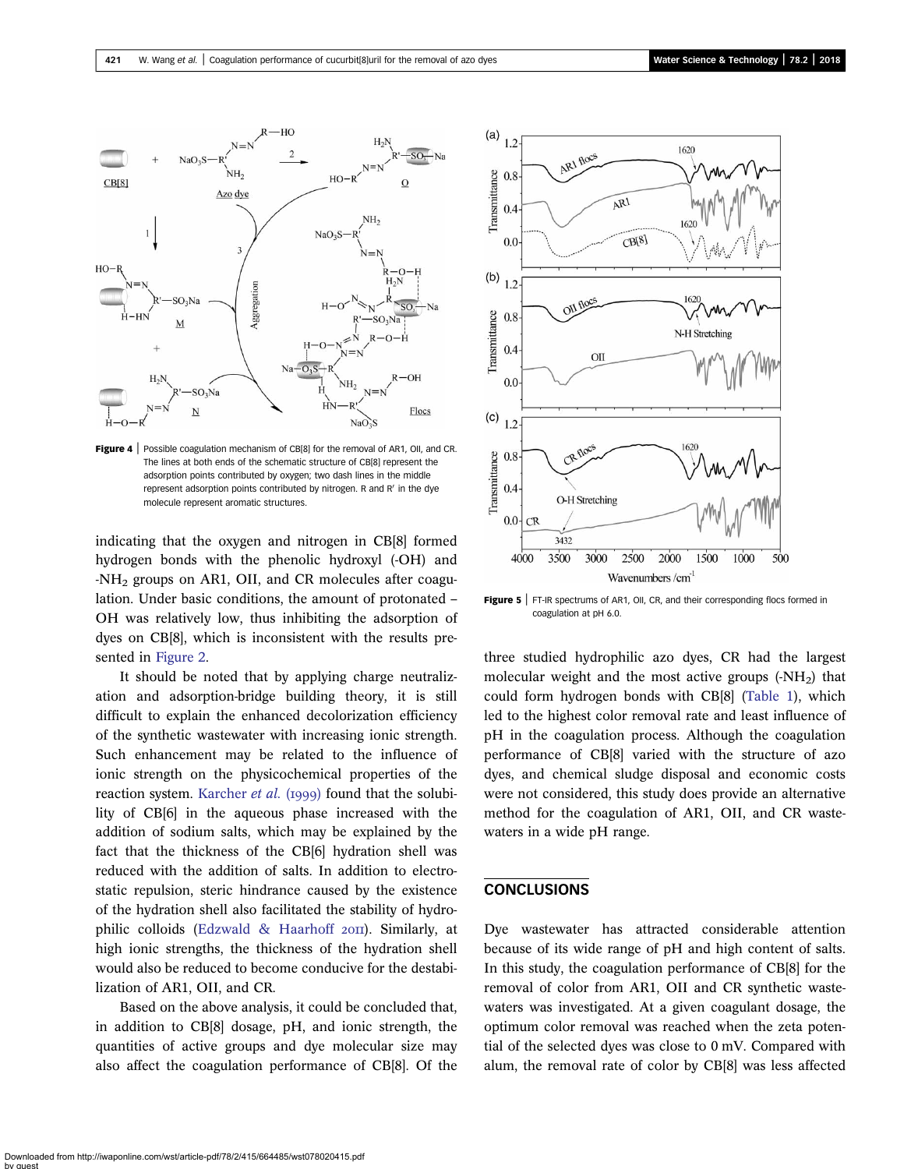<span id="page-6-0"></span>

Figure 4 | Possible coagulation mechanism of CB[8] for the removal of AR1, OII, and CR. The lines at both ends of the schematic structure of CB[8] represent the adsorption points contributed by oxygen; two dash lines in the middle represent adsorption points contributed by nitrogen. R and R' in the dye molecule represent aromatic structures.

indicating that the oxygen and nitrogen in CB[8] formed hydrogen bonds with the phenolic hydroxyl (-OH) and  $-NH<sub>2</sub>$  groups on AR1, OII, and CR molecules after coagulation. Under basic conditions, the amount of protonated – OH was relatively low, thus inhibiting the adsorption of dyes on CB[8], which is inconsistent with the results presented in [Figure 2.](#page-4-0)

It should be noted that by applying charge neutralization and adsorption-bridge building theory, it is still difficult to explain the enhanced decolorization efficiency of the synthetic wastewater with increasing ionic strength. Such enhancement may be related to the influence of ionic strength on the physicochemical properties of the reaction system. [Karcher](#page-7-0) et al. (1999) found that the solubility of CB[6] in the aqueous phase increased with the addition of sodium salts, which may be explained by the fact that the thickness of the CB[6] hydration shell was reduced with the addition of salts. In addition to electrostatic repulsion, steric hindrance caused by the existence of the hydration shell also facilitated the stability of hydro-philic colloids [\(Edzwald & Haarhoff](#page-7-0) 2011). Similarly, at high ionic strengths, the thickness of the hydration shell would also be reduced to become conducive for the destabilization of AR1, OII, and CR.

Based on the above analysis, it could be concluded that, in addition to CB[8] dosage, pH, and ionic strength, the quantities of active groups and dye molecular size may also affect the coagulation performance of CB[8]. Of the



Figure 5 | FT-IR spectrums of AR1, OII, CR, and their corresponding flocs formed in coagulation at pH 6.0.

three studied hydrophilic azo dyes, CR had the largest molecular weight and the most active groups  $(-NH<sub>2</sub>)$  that could form hydrogen bonds with CB[8] [\(Table 1](#page-2-0)), which led to the highest color removal rate and least influence of pH in the coagulation process. Although the coagulation performance of CB[8] varied with the structure of azo dyes, and chemical sludge disposal and economic costs were not considered, this study does provide an alternative method for the coagulation of AR1, OII, and CR wastewaters in a wide pH range.

## CONCLUSIONS

Dye wastewater has attracted considerable attention because of its wide range of pH and high content of salts. In this study, the coagulation performance of CB[8] for the removal of color from AR1, OII and CR synthetic wastewaters was investigated. At a given coagulant dosage, the optimum color removal was reached when the zeta potential of the selected dyes was close to 0 mV. Compared with alum, the removal rate of color by CB[8] was less affected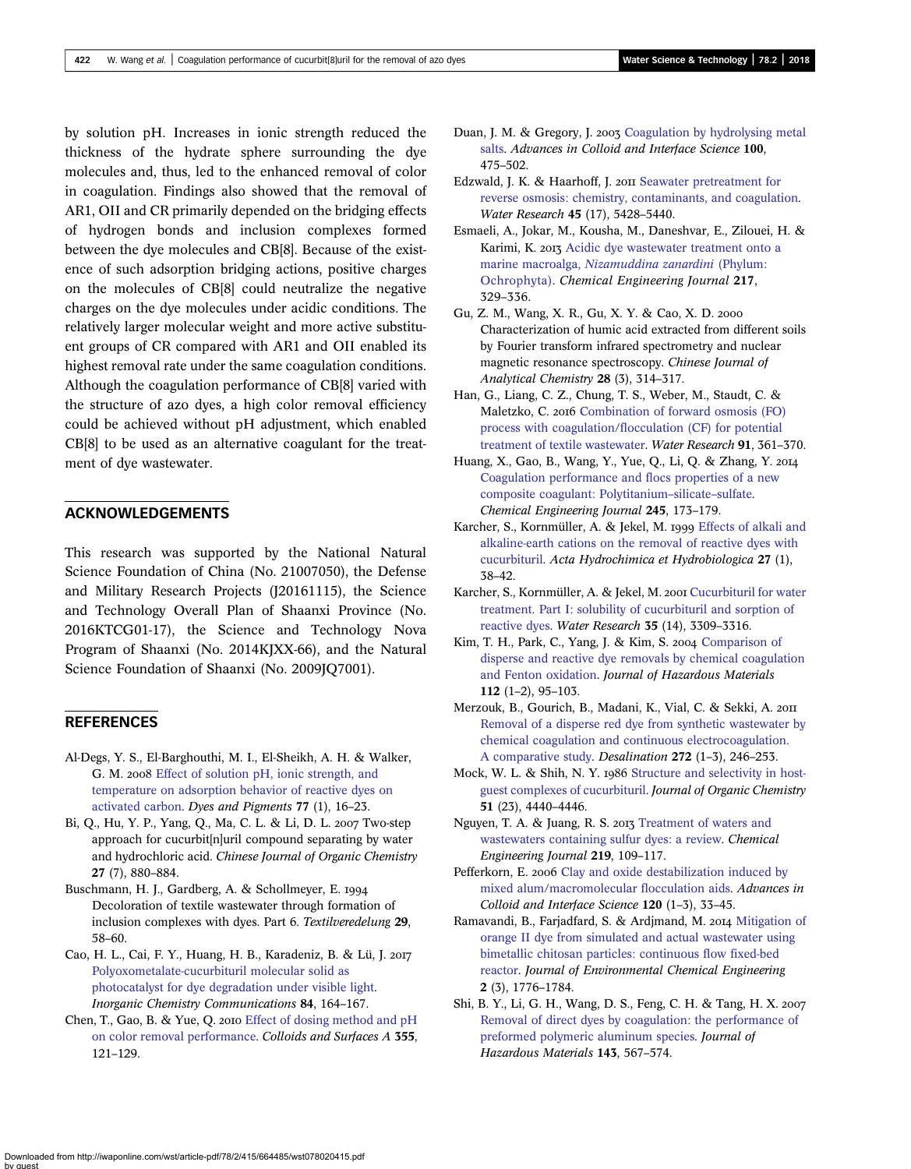<span id="page-7-0"></span>by solution pH. Increases in ionic strength reduced the thickness of the hydrate sphere surrounding the dye molecules and, thus, led to the enhanced removal of color in coagulation. Findings also showed that the removal of AR1, OII and CR primarily depended on the bridging effects of hydrogen bonds and inclusion complexes formed between the dye molecules and CB[8]. Because of the existence of such adsorption bridging actions, positive charges on the molecules of CB[8] could neutralize the negative charges on the dye molecules under acidic conditions. The relatively larger molecular weight and more active substituent groups of CR compared with AR1 and OII enabled its highest removal rate under the same coagulation conditions. Although the coagulation performance of CB[8] varied with the structure of azo dyes, a high color removal efficiency could be achieved without pH adjustment, which enabled CB[8] to be used as an alternative coagulant for the treatment of dye wastewater.

## ACKNOWLEDGEMENTS

This research was supported by the National Natural Science Foundation of China (No. 21007050), the Defense and Military Research Projects (J20161115), the Science and Technology Overall Plan of Shaanxi Province (No. 2016KTCG01-17), the Science and Technology Nova Program of Shaanxi (No. 2014KJXX-66), and the Natural Science Foundation of Shaanxi (No. 2009JQ7001).

## **REFERENCES**

- Al-Degs, Y. S., El-Barghouthi, M. I., El-Sheikh, A. H. & Walker, G. M. 2008 [Effect of solution pH, ionic strength, and](http://dx.doi.org/10.1016/j.dyepig.2007.03.001) [temperature on adsorption behavior of reactive dyes on](http://dx.doi.org/10.1016/j.dyepig.2007.03.001) [activated carbon](http://dx.doi.org/10.1016/j.dyepig.2007.03.001). Dyes and Pigments 77 (1), 16–23.
- Bi, Q., Hu, Y. P., Yang, Q., Ma, C. L. & Li, D. L. 2007 Two-step approach for cucurbit[n]uril compound separating by water and hydrochloric acid. Chinese Journal of Organic Chemistry 27 (7), 880–884.
- Buschmann, H. J., Gardberg, A. & Schollmeyer, E. Decoloration of textile wastewater through formation of inclusion complexes with dyes. Part 6. Textilveredelung 29, 58–60.
- Cao, H. L., Cai, F. Y., Huang, H. B., Karadeniz, B. & Lü, J. [Polyoxometalate-cucurbituril molecular solid as](http://dx.doi.org/10.1016/j.inoche.2017.08.021) [photocatalyst for dye degradation under visible light](http://dx.doi.org/10.1016/j.inoche.2017.08.021). Inorganic Chemistry Communications 84, 164–167.
- Chen, T., Gao, B. & Yue, Q. 2010 [Effect of dosing method and pH](http://dx.doi.org/10.1016/j.colsurfa.2009.12.008) [on color removal performance](http://dx.doi.org/10.1016/j.colsurfa.2009.12.008). Colloids and Surfaces A 355, 121–129.
- Duan, J. M. & Gregory, J. 2003 [Coagulation by hydrolysing metal](http://dx.doi.org/10.1016/S0001-8686(02)00067-2) [salts](http://dx.doi.org/10.1016/S0001-8686(02)00067-2). Advances in Colloid and Interface Science 100, 475–502.
- Edzwald, J. K. & Haarhoff, J. 2011 [Seawater pretreatment for](http://dx.doi.org/10.1016/j.watres.2011.08.014) [reverse osmosis: chemistry, contaminants, and coagulation](http://dx.doi.org/10.1016/j.watres.2011.08.014). Water Research 45 (17), 5428–5440.
- Esmaeli, A., Jokar, M., Kousha, M., Daneshvar, E., Zilouei, H. & Karimi, K. 2013 [Acidic dye wastewater treatment onto a](http://dx.doi.org/10.1016/j.cej.2012.11.038) marine macroalga, [Nizamuddina zanardini](http://dx.doi.org/10.1016/j.cej.2012.11.038) (Phylum: [Ochrophyta\).](http://dx.doi.org/10.1016/j.cej.2012.11.038) Chemical Engineering Journal 217, 329–336.
- Gu, Z. M., Wang, X. R., Gu, X. Y. & Cao, X. D. Characterization of humic acid extracted from different soils by Fourier transform infrared spectrometry and nuclear magnetic resonance spectroscopy. Chinese Journal of Analytical Chemistry 28 (3), 314–317.
- Han, G., Liang, C. Z., Chung, T. S., Weber, M., Staudt, C. & Maletzko, C. 2016 [Combination of forward osmosis \(FO\)](http://dx.doi.org/10.1016/j.watres.2016.01.031) [process with coagulation/flocculation \(CF\) for potential](http://dx.doi.org/10.1016/j.watres.2016.01.031) [treatment of textile wastewater.](http://dx.doi.org/10.1016/j.watres.2016.01.031) Water Research 91, 361–370.
- Huang, X., Gao, B., Wang, Y., Yue, Q., Li, Q. & Zhang, Y. [Coagulation performance and flocs properties of a new](http://dx.doi.org/10.1016/j.cej.2014.02.018) [composite coagulant: Polytitanium](http://dx.doi.org/10.1016/j.cej.2014.02.018)–silicate–sulfate. Chemical Engineering Journal 245, 173–179.
- Karcher, S., Kornmüller, A. & Jekel, M. 1999 [Effects of alkali and](http://dx.doi.org/10.1002/(SICI)1521-401X(199901)27:1%3C38::AID-AHEH38%3E3.0.CO;2-U) [alkaline-earth cations on the removal of reactive dyes with](http://dx.doi.org/10.1002/(SICI)1521-401X(199901)27:1%3C38::AID-AHEH38%3E3.0.CO;2-U) [cucurbituril](http://dx.doi.org/10.1002/(SICI)1521-401X(199901)27:1%3C38::AID-AHEH38%3E3.0.CO;2-U). Acta Hydrochimica et Hydrobiologica 27 (1), 38–42.
- Karcher, S., Kornmüller, A. & Jekel, M. 2001 [Cucurbituril for water](http://dx.doi.org/10.1016/S0043-1354(01)00038-0) [treatment. Part I: solubility of cucurbituril and sorption of](http://dx.doi.org/10.1016/S0043-1354(01)00038-0) [reactive dyes.](http://dx.doi.org/10.1016/S0043-1354(01)00038-0) Water Research 35 (14), 3309–3316.
- Kim, T. H., Park, C., Yang, J. & Kim, S. 2004 [Comparison of](http://dx.doi.org/10.1016/j.jhazmat.2004.04.008) [disperse and reactive dye removals by chemical coagulation](http://dx.doi.org/10.1016/j.jhazmat.2004.04.008) [and Fenton oxidation](http://dx.doi.org/10.1016/j.jhazmat.2004.04.008). Journal of Hazardous Materials 112 (1–2), 95–103.
- Merzouk, B., Gourich, B., Madani, K., Vial, C. & Sekki, A. [Removal of a disperse red dye from synthetic wastewater by](http://dx.doi.org/10.1016/j.desal.2011.01.029) [chemical coagulation and continuous electrocoagulation.](http://dx.doi.org/10.1016/j.desal.2011.01.029) [A comparative study](http://dx.doi.org/10.1016/j.desal.2011.01.029). Desalination 272 (1–3), 246–253.
- Mock, W. L. & Shih, N. Y. 1986 [Structure and selectivity in host](http://dx.doi.org/10.1021/jo00373a018)[guest complexes of cucurbituril](http://dx.doi.org/10.1021/jo00373a018). Journal of Organic Chemistry 51 (23), 4440–4446.
- Nguyen, T. A. & Juang, R. S. 2013 [Treatment of waters and](http://dx.doi.org/10.1016/j.cej.2012.12.102) [wastewaters containing sulfur dyes: a review.](http://dx.doi.org/10.1016/j.cej.2012.12.102) Chemical Engineering Journal 219, 109–117.
- Pefferkorn, E. 2006 [Clay and oxide destabilization induced by](http://dx.doi.org/10.1016/j.cis.2006.01.003) [mixed alum/macromolecular flocculation aids.](http://dx.doi.org/10.1016/j.cis.2006.01.003) Advances in Colloid and Interface Science 120 (1–3), 33–45.
- Ramavandi, B., Farjadfard, S. & Ardjmand, M. 2014 [Mitigation of](http://dx.doi.org/10.1016/j.jece.2014.07.023) [orange II dye from simulated and actual wastewater using](http://dx.doi.org/10.1016/j.jece.2014.07.023) [bimetallic chitosan particles: continuous flow fixed-bed](http://dx.doi.org/10.1016/j.jece.2014.07.023) [reactor.](http://dx.doi.org/10.1016/j.jece.2014.07.023) Journal of Environmental Chemical Engineering 2 (3), 1776–1784.
- Shi, B. Y., Li, G. H., Wang, D. S., Feng, C. H. & Tang, H. X. [Removal of direct dyes by coagulation: the performance of](http://dx.doi.org/10.1016/j.jhazmat.2006.09.076) [preformed polymeric aluminum species.](http://dx.doi.org/10.1016/j.jhazmat.2006.09.076) Journal of Hazardous Materials 143, 567–574.